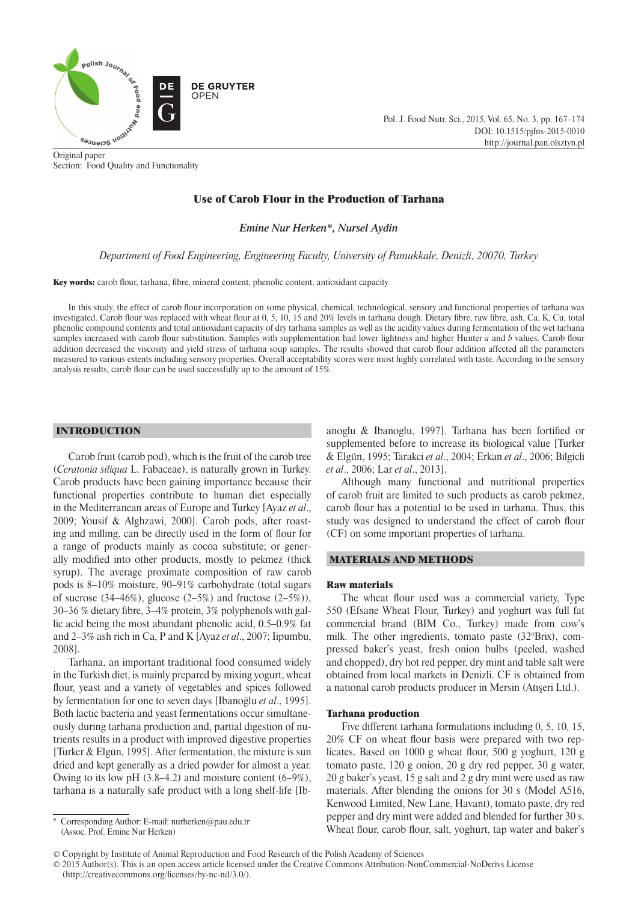

Original paper Section: Food Quality and Functionality Pol. J. Food Nutr. Sci., 2015, Vol. 65, No. 3, pp. 167–174 DOI: 10.1515/pjfns-2015-0010 http://journal.pan.olsztyn.pl

# Use of Carob Flour in the Production of Tarhana

*Emine Nur Herken\*, Nursel Aydin*

# *Department of Food Engineering, Engineering Faculty, University of Pamukkale, Denizli, 20070, Turkey*

Key words: carob flour, tarhana, fibre, mineral content, phenolic content, antioxidant capacity

In this study, the effect of carob flour incorporation on some physical, chemical, technological, sensory and functional properties of tarhana was investigated. Carob flour was replaced with wheat flour at 0, 5, 10, 15 and 20% levels in tarhana dough. Dietary fibre, raw fibre, ash, Ca, K, Cu, total phenolic compound contents and total antioxidant capacity of dry tarhana samples as well as the acidity values during fermentation of the wet tarhana samples increased with carob flour substitution. Samples with supplementation had lower lightness and higher Hunter *a* and *b* values. Carob flour addition decreased the viscosity and yield stress of tarhana soup samples. The results showed that carob flour addition affected all the parameters measured to various extents including sensory properties. Overall acceptability scores were most highly correlated with taste. According to the sensory analysis results, carob flour can be used successfully up to the amount of 15%.

# INTRODUCTION

Carob fruit (carob pod), which is the fruit of the carob tree (*Ceratonia siliqua* L. Fabaceae), is naturally grown in Turkey. Carob products have been gaining importance because their functional properties contribute to human diet especially in the Mediterranean areas of Europe and Turkey [Ayaz *et al*., 2009; Yousif & Alghzawi, 2000]. Carob pods, after roasting and milling, can be directly used in the form of flour for a range of products mainly as cocoa substitute; or generally modified into other products, mostly to pekmez (thick syrup). The average proximate composition of raw carob pods is 8–10% moisture, 90–91% carbohydrate (total sugars of sucrose  $(34-46\%)$ , glucose  $(2-5\%)$  and fructose  $(2-5\%)$ . 30–36 % dietary fibre, 3–4% protein, 3% polyphenols with gallic acid being the most abundant phenolic acid, 0.5–0.9% fat and 2–3% ash rich in Ca, P and K [Ayaz *et al*., 2007; Iipumbu, 2008].

Tarhana, an important traditional food consumed widely in the Turkish diet, is mainly prepared by mixing yogurt, wheat flour, yeast and a variety of vegetables and spices followed by fermentation for one to seven days [Ibanoğlu *et al*., 1995]. Both lactic bacteria and yeast fermentations occur simultaneously during tarhana production and, partial digestion of nutrients results in a product with improved digestive properties [Turker & Elgün, 1995]. After fermentation, the mixture is sun dried and kept generally as a dried powder for almost a year. Owing to its low pH (3.8–4.2) and moisture content (6–9%), tarhana is a naturally safe product with a long shelf-life [Ib-

\* Corresponding Author: E-mail: [nurherken@pau.edu.tr](mailto:nurherken@pau.edu.tr)  (Assoc. Prof. Emine Nur Herken)

anoglu & Ibanoglu, 1997]. Tarhana has been fortified or supplemented before to increase its biological value [Turker & Elgün, 1995; Tarakci *et al*., 2004; Erkan *et al*., 2006; Bilgicli *et al*., 2006; Lar *et al*., 2013].

Although many functional and nutritional properties of carob fruit are limited to such products as carob pekmez, carob flour has a potential to be used in tarhana. Thus, this study was designed to understand the effect of carob flour (CF) on some important properties of tarhana.

# MATERIALS AND METHODS

#### Raw materials

The wheat flour used was a commercial variety, Type 550 (Efsane Wheat Flour, Turkey) and yoghurt was full fat commercial brand (BIM Co., Turkey) made from cow's milk. The other ingredients, tomato paste (32°Brix), compressed baker's yeast, fresh onion bulbs (peeled, washed and chopped), dry hot red pepper, dry mint and table salt were obtained from local markets in Denizli. CF is obtained from a national carob products producer in Mersin (Atışeri Ltd.).

## Tarhana production

Five different tarhana formulations including 0, 5, 10, 15, 20% CF on wheat flour basis were prepared with two replicates. Based on 1000 g wheat flour, 500 g yoghurt, 120 g tomato paste, 120 g onion, 20 g dry red pepper, 30 g water, 20 g baker's yeast, 15 g salt and 2 g dry mint were used as raw materials. After blending the onions for 30 s (Model A516, Kenwood Limited, New Lane, Havant), tomato paste, dry red pepper and dry mint were added and blended for further 30 s. Wheat flour, carob flour, salt, yoghurt, tap water and baker's

<sup>©</sup> Copyright by Institute of Animal Reproduction and Food Research of the Polish Academy of Sciences

<sup>© 2015</sup> Author(s). This is an open access article licensed under the Creative Commons Attribution-NonCommercial-NoDerivs License (http://creativecommons.org/licenses/by-nc-nd/3.0/).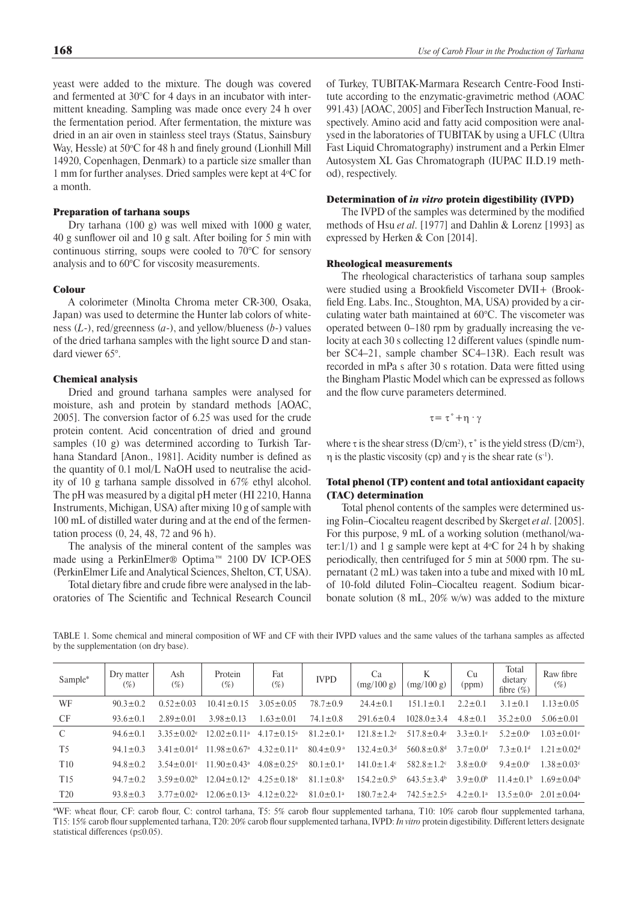yeast were added to the mixture. The dough was covered and fermented at 30°C for 4 days in an incubator with intermittent kneading. Sampling was made once every 24 h over the fermentation period. After fermentation, the mixture was dried in an air oven in stainless steel trays (Status, Sainsbury Way, Hessle) at 50°C for 48 h and finely ground (Lionhill Mill 14920, Copenhagen, Denmark) to a particle size smaller than 1 mm for further analyses. Dried samples were kept at 4<sup>o</sup> C for a month.

## Preparation of tarhana soups

Dry tarhana (100 g) was well mixed with 1000 g water, 40 g sunflower oil and 10 g salt. After boiling for 5 min with continuous stirring, soups were cooled to 70°C for sensory analysis and to 60°C for viscosity measurements.

## Colour

A colorimeter (Minolta Chroma meter CR-300, Osaka, Japan) was used to determine the Hunter lab colors of whiteness (*L*-), red/greenness (*a*-), and yellow/blueness (*b*-) values of the dried tarhana samples with the light source D and standard viewer 65°.

# Chemical analysis

Dried and ground tarhana samples were analysed for moisture, ash and protein by standard methods [AOAC, 2005]. The conversion factor of 6.25 was used for the crude protein content. Acid concentration of dried and ground samples (10 g) was determined according to Turkish Tarhana Standard [Anon., 1981]. Acidity number is defined as the quantity of 0.1 mol/L NaOH used to neutralise the acidity of 10 g tarhana sample dissolved in 67% ethyl alcohol. The pH was measured by a digital pH meter (HI 2210, Hanna Instruments, Michigan, USA) after mixing 10 g of sample with 100 mL of distilled water during and at the end of the fermentation process (0, 24, 48, 72 and 96 h).

The analysis of the mineral content of the samples was made using a PerkinElmer® Optima™ 2100 DV ICP-OES (PerkinElmer Life and Analytical Sciences, Shelton, CT, USA).

Total dietary fibre and crude fibre were analysed in the laboratories of The Scientific and Technical Research Council of Turkey, TUBITAK-Marmara Research Centre-Food Institute according to the enzymatic-gravimetric method (AOAC 991.43) [AOAC, 2005] and FiberTech Instruction Manual, respectively. Amino acid and fatty acid composition were analysed in the laboratories of TUBITAK by using a UFLC (Ultra Fast Liquid Chromatography) instrument and a Perkin Elmer Autosystem XL Gas Chromatograph (IUPAC II.D.19 method), respectively.

### Determination of *in vitro* protein digestibility (IVPD)

The IVPD of the samples was determined by the modified methods of Hsu *et al*. [1977] and Dahlin & Lorenz [1993] as expressed by Herken & Con [2014].

# Rheological measurements

The rheological characteristics of tarhana soup samples were studied using a Brookfield Viscometer DVII+ (Brookfield Eng. Labs. Inc., Stoughton, MA, USA) provided by a circulating water bath maintained at 60°C. The viscometer was operated between 0–180 rpm by gradually increasing the velocity at each 30 s collecting 12 different values (spindle number SC4–21, sample chamber SC4–13R). Each result was recorded in mPa s after 30 s rotation. Data were fitted using the Bingham Plastic Model which can be expressed as follows and the flow curve parameters determined.

τ= τ˚+η · γ

where  $\tau$  is the shear stress (D/cm<sup>2</sup>),  $\tau$ ° is the yield stress (D/cm<sup>2</sup>),  $η$  is the plastic viscosity (cp) and  $γ$  is the shear rate (s<sup>-1</sup>).

# Total phenol (TP) content and total antioxidant capacity (TAC) determination

Total phenol contents of the samples were determined using Folin–Ciocalteu reagent described by Skerget *et al*. [2005]. For this purpose, 9 mL of a working solution (methanol/water: $1/1$ ) and 1 g sample were kept at  $4^{\circ}$ C for 24 h by shaking periodically, then centrifuged for 5 min at 5000 rpm. The supernatant (2 mL) was taken into a tube and mixed with 10 mL of 10-fold diluted Folin–Ciocalteu reagent. Sodium bicarbonate solution (8 mL, 20% w*/*w) was added to the mixture

TABLE 1. Some chemical and mineral composition of WF and CF with their IVPD values and the same values of the tarhana samples as affected by the supplementation (on dry base).

| Sample*         | Dry matter<br>$(\%)$ | Ash<br>$(\%)$              | Protein<br>$(\% )$            | Fat<br>$(\%)$                | <b>IVPD</b>                 | Ca<br>(mg/100 g)             | K<br>(mg/100 g)              | Cu<br>(ppm)                | Total<br>dietary<br>fibre $(\%)$ | Raw fibre<br>$(\%)$          |
|-----------------|----------------------|----------------------------|-------------------------------|------------------------------|-----------------------------|------------------------------|------------------------------|----------------------------|----------------------------------|------------------------------|
| WF              | $90.3 \pm 0.2$       | $0.52 \pm 0.03$            | $1041 + 015$                  | $3.05 \pm 0.05$              | $78.7 \pm 0.9$              | $244+01$                     | $151.1 \pm 0.1$              | $2.2 \pm 0.1$              | $3.1 \pm 0.1$                    | $1.13 \pm 0.05$              |
| <b>CF</b>       | $93.6 \pm 0.1$       | $2.89 \pm 0.01$            | $3.98 \pm 0.13$               | $1.63 \pm 0.01$              | $74.1 \pm 0.8$              | $291.6 \pm 0.4$              | $1028.0 \pm 3.4$             | $4.8 \pm 0.1$              | $35.2 \pm 0.0$                   | $5.06 \pm 0.01$              |
| $\mathcal{C}$   | $94.6 \pm 0.1$       | $3.35 + 0.02$ <sup>e</sup> | $12.02 \pm 0.11$ <sup>a</sup> | $4.17 \pm 0.15^{\text{a}}$   | $81.2 \pm 0.1$ <sup>a</sup> | $121.8 + 1.2$ <sup>e</sup>   | $517.8 \pm 0.4$ <sup>e</sup> | $3.3 \pm 0.1$ <sup>e</sup> | $5.2 \pm 0.0$ <sup>e</sup>       | $1.03 \pm 0.01$ <sup>e</sup> |
| T <sub>5</sub>  | $94.1 \pm 0.3$       | $3.41 + 0.01d$             | $11.98 \pm 0.67$ <sup>a</sup> | $4.32 \pm 0.11^a$            | $80.4 \pm 0.9$ <sup>a</sup> | $132.4 \pm 0.3$ <sup>d</sup> | $560.8 \pm 0.8$ <sup>d</sup> | $37+0.0d$                  | $73+0.1d$                        | $1.21 \pm 0.02$ <sup>d</sup> |
| T <sub>10</sub> | $948+02$             | $3.54 \pm 0.01$ °          | $11.90 \pm 0.43$ <sup>a</sup> | $4.08 \pm 0.25$ <sup>a</sup> | $80.1 \pm 0.1$ <sup>a</sup> | $141.0 + 1.4$                | $582.8 \pm 1.2$              | $3.8 \pm 0.0$ °            | $9.4 \pm 0.0$                    | $1.38 \pm 0.03$ <sup>c</sup> |
| T <sub>15</sub> | $947+0.2$            | $3.59 + 0.02b$             | $12.04 + 0.12a$               | $425+018^a$                  | $81.1 \pm 0.8^{\circ}$      | $1542+0.5b$                  | $6435 + 34$                  | $3.9 + 0.0b$               | $11.4+0.1b$                      | $1.69 + 0.04b$               |
| T <sub>20</sub> | $93.8 \pm 0.3$       | $3.77 \pm 0.02^{\text{a}}$ | $12.06 \pm 0.13$ <sup>a</sup> | $4.12 \pm 0.22$ <sup>a</sup> | $81.0 \pm 0.1$ <sup>a</sup> | $180.7 \pm 2.4^{\circ}$      | $742.5+2.5^a$                | $4.2 \pm 0.1^a$            | $13.5 \pm 0.0^a$                 | $2.01 + 0.04$ <sup>a</sup>   |

\*WF: wheat flour, CF: carob flour, C: control tarhana, T5: 5% carob flour supplemented tarhana, T10: 10% carob flour supplemented tarhana, T15: 15% carob flour supplemented tarhana, T20: 20% carob flour supplemented tarhana, IVPD: *In vitro* protein digestibility. Different letters designate statistical differences (p≤0.05).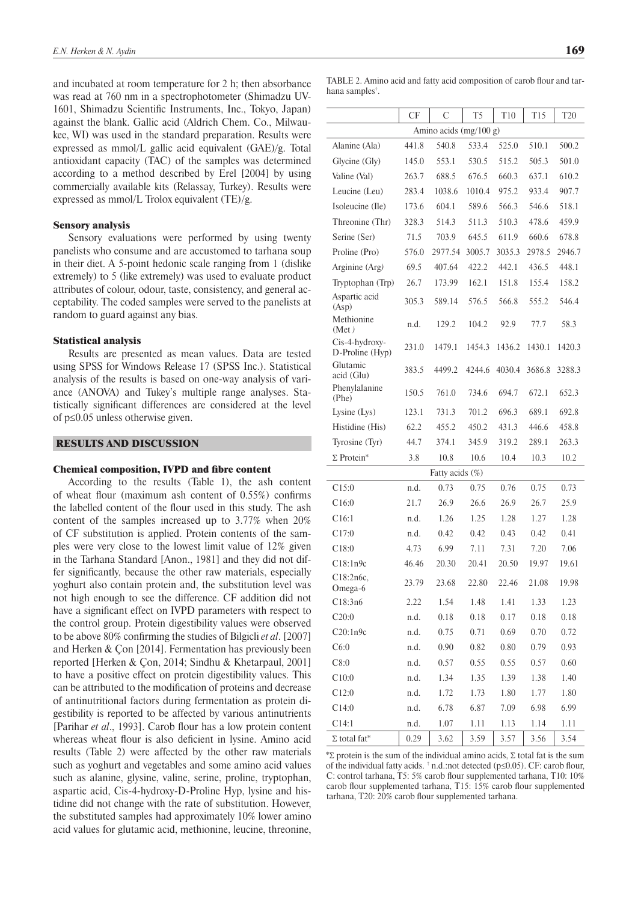and incubated at room temperature for 2 h; then absorbance was read at 760 nm in a spectrophotometer (Shimadzu UV-1601, Shimadzu Scientific Instruments, Inc., Tokyo, Japan) against the blank. Gallic acid (Aldrich Chem. Co., Milwaukee, WI) was used in the standard preparation. Results were expressed as mmol/L gallic acid equivalent (GAE)*/*g. Total antioxidant capacity (TAC) of the samples was determined according to a method described by Erel [2004] by using commercially available kits (Relassay, Turkey). Results were expressed as mmol/L Trolox equivalent (TE)/g.

## Sensory analysis

Sensory evaluations were performed by using twenty panelists who consume and are accustomed to tarhana soup in their diet. A 5-point hedonic scale ranging from 1 (dislike extremely) to 5 (like extremely) was used to evaluate product attributes of colour, odour, taste, consistency, and general acceptability. The coded samples were served to the panelists at random to guard against any bias.

#### Statistical analysis

Results are presented as mean values. Data are tested using SPSS for Windows Release 17 (SPSS Inc.). Statistical analysis of the results is based on one-way analysis of variance (ANOVA) and Tukey's multiple range analyses. Statistically significant differences are considered at the level of p≤0.05 unless otherwise given.

## RESULTS AND DISCUSSION

## Chemical composition, IVPD and fibre content

According to the results (Table 1), the ash content of wheat flour (maximum ash content of 0.55%) confirms the labelled content of the flour used in this study. The ash content of the samples increased up to 3.77% when 20% of CF substitution is applied. Protein contents of the samples were very close to the lowest limit value of 12% given in the Tarhana Standard [Anon., 1981] and they did not differ significantly, because the other raw materials, especially yoghurt also contain protein and, the substitution level was not high enough to see the difference. CF addition did not have a significant effect on IVPD parameters with respect to the control group. Protein digestibility values were observed to be above 80% confirming the studies of Bilgicli *et al*. [2007] and Herken & Çon [2014]. Fermentation has previously been reported [Herken & Çon, 2014; Sindhu & Khetarpaul, 2001] to have a positive effect on protein digestibility values. This can be attributed to the modification of proteins and decrease of antinutritional factors during fermentation as protein digestibility is reported to be affected by various antinutrients [Parihar *et al*., 1993]. Carob flour has a low protein content whereas wheat flour is also deficient in lysine. Amino acid results (Table 2) were affected by the other raw materials such as yoghurt and vegetables and some amino acid values such as alanine, glysine, valine, serine, proline, tryptophan, aspartic acid, Cis-4-hydroxy-D-Proline Hyp, lysine and histidine did not change with the rate of substitution. However, the substituted samples had approximately 10% lower amino acid values for glutamic acid, methionine, leucine, threonine,

TABLE 2. Amino acid and fatty acid composition of carob flour and tarhana samples† .

|                                   | CF    | C               | T <sub>5</sub> | T10    | T <sub>15</sub> | T <sub>20</sub> |  |  |
|-----------------------------------|-------|-----------------|----------------|--------|-----------------|-----------------|--|--|
| Amino acids (mg/100 g)            |       |                 |                |        |                 |                 |  |  |
| Alanine (Ala)                     | 441.8 | 540.8           | 533.4          | 525.0  | 510.1           | 500.2           |  |  |
| Glycine (Gly)                     | 145.0 | 553.1           | 530.5          | 515.2  | 505.3           | 501.0           |  |  |
| Valine (Val)                      | 263.7 | 688.5           | 676.5          | 660.3  | 637.1           | 610.2           |  |  |
| Leucine (Leu)                     | 283.4 | 1038.6          | 1010.4         | 975.2  | 933.4           | 907.7           |  |  |
| Isoleucine (Ile)                  | 173.6 | 604.1           | 589.6          | 566.3  | 546.6           | 518.1           |  |  |
| Threonine (Thr)                   | 328.3 | 514.3           | 511.3          | 510.3  | 478.6           | 459.9           |  |  |
| Serine (Ser)                      | 71.5  | 703.9           | 645.5          | 611.9  | 660.6           | 678.8           |  |  |
| Proline (Pro)                     | 576.0 | 2977.54         | 3005.7         | 3035.3 | 2978.5          | 2946.7          |  |  |
| Arginine (Arg)                    | 69.5  | 407.64          | 422.2          | 442.1  | 436.5           | 448.1           |  |  |
| Tryptophan (Trp)                  | 26.7  | 173.99          | 162.1          | 151.8  | 155.4           | 158.2           |  |  |
| Aspartic acid<br>(Asp)            | 305.3 | 589.14          | 576.5          | 566.8  | 555.2           | 546.4           |  |  |
| Methionine<br>(Met)               | n.d.  | 129.2           | 104.2          | 92.9   | 77.7            | 58.3            |  |  |
| Cis-4-hydroxy-<br>D-Proline (Hyp) | 231.0 | 1479.1          | 1454.3         | 1436.2 | 1430.1          | 1420.3          |  |  |
| Glutamic<br>acid (Glu)            | 383.5 | 4499.2          | 4244.6         | 4030.4 | 3686.8          | 3288.3          |  |  |
| Phenylalanine<br>(Phe)            | 150.5 | 761.0           | 734.6          | 694.7  | 672.1           | 652.3           |  |  |
| Lysine (Lys)                      | 123.1 | 731.3           | 701.2          | 696.3  | 689.1           | 692.8           |  |  |
| Histidine (His)                   | 62.2  | 455.2           | 450.2          | 431.3  | 446.6           | 458.8           |  |  |
| Tyrosine (Tyr)                    | 44.7  | 374.1           | 345.9          | 319.2  | 289.1           | 263.3           |  |  |
| $\Sigma$ Protein*                 | 3.8   | 10.8            | 10.6           | 10.4   | 10.3            | 10.2            |  |  |
|                                   |       | Fatty acids (%) |                |        |                 |                 |  |  |
| C15:0                             | n.d.  | 0.73            | 0.75           | 0.76   | 0.75            | 0.73            |  |  |
| C16:0                             | 21.7  | 26.9            | 26.6           | 26.9   | 26.7            | 25.9            |  |  |
| C16:1                             | n.d.  | 1.26            | 1.25           | 1.28   | 1.27            | 1.28            |  |  |
| C17:0                             | n.d.  | 0.42            | 0.42           | 0.43   | 0.42            | 0.41            |  |  |
| C18:0                             | 4.73  | 6.99            | 7.11           | 7.31   | 7.20            | 7.06            |  |  |
| C18:1n9c                          | 46.46 | 20.30           | 20.41          | 20.50  | 19.97           | 19.61           |  |  |
| C18:2n6c,<br>Omega-6              | 23.79 | 23.68           | 22.80          | 22.46  | 21.08           | 19.98           |  |  |
| C18:3n6                           | 2.22  | 1.54            | 1.48           | 1.41   | 1.33            | 1.23            |  |  |
| C20:0                             | n.d.  | 0.18            | 0.18           | 0.17   | 0.18            | 0.18            |  |  |
| C20:1n9c                          | n.d.  | 0.75            | 0.71           | 0.69   | 0.70            | 0.72            |  |  |
| C6:0                              | n.d.  | 0.90            | 0.82           | 0.80   | 0.79            | 0.93            |  |  |
| C8:0                              | n.d.  | 0.57            | 0.55           | 0.55   | 0.57            | 0.60            |  |  |
| C10:0                             | n.d.  | 1.34            | 1.35           | 1.39   | 1.38            | 1.40            |  |  |
| C12:0                             | n.d.  | 1.72            | 1.73           | 1.80   | 1.77            | 1.80            |  |  |
| C14:0                             | n.d.  | 6.78            | 6.87           | 7.09   | 6.98            | 6.99            |  |  |
| C14:1                             | n.d.  | 1.07            | 1.11           | 1.13   | 1.14            | 1.11            |  |  |
| $\Sigma$ total fat*               | 0.29  | 3.62            | 3.59           | 3.57   | 3.56            | 3.54            |  |  |

 $\sum$  protein is the sum of the individual amino acids, Σ total fat is the sum of the individual fatty acids. † n.d.:not detected (p≤0.05). CF: carob flour, C: control tarhana, T5: 5% carob flour supplemented tarhana, T10: 10% carob flour supplemented tarhana, T15: 15% carob flour supplemented tarhana, T20: 20% carob flour supplemented tarhana.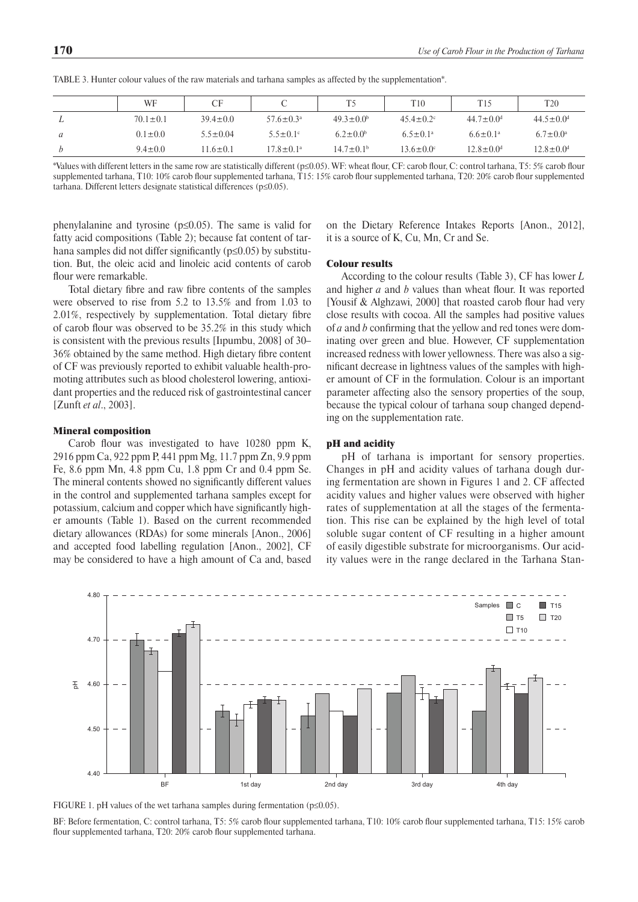|   | <b>WF</b>      | CF             |                        | T5                     | T <sub>10</sub>             | T15                         | T <sub>20</sub>             |
|---|----------------|----------------|------------------------|------------------------|-----------------------------|-----------------------------|-----------------------------|
| ⊥ | $70.1 \pm 0.1$ | $39.4 \pm 0.0$ | $57.6 \pm 0.3^{\circ}$ | $49.3 \pm 0.0^b$       | $45.4 \pm 0.2$ °            | $44.7 \pm 0.0$ <sup>d</sup> | $44.5 \pm 0.0$ <sup>d</sup> |
| a | $0.1 \pm 0.0$  | $5.5 \pm 0.04$ | $5.5 \pm 0.1$ °        | $6.2 \pm 0.0^b$        | $6.5 \pm 0.1^{\circ}$       | $6.6 \pm 0.1^a$             | $6.7 \pm 0.0^{\rm a}$       |
|   | $9.4 \pm 0.0$  | $11.6 \pm 0.1$ | $17.8 \pm 0.1^{\circ}$ | $14.7 \pm 0.1^{\circ}$ | $13.6 \pm 0.0$ <sup>c</sup> | $12.8 \pm 0.0$ <sup>d</sup> | $12.8 \pm 0.0$ <sup>d</sup> |

TABLE 3. Hunter colour values of the raw materials and tarhana samples as affected by the supplementation\*.

\*Values with different letters in the same row are statistically different (p≤0.05). WF: wheat flour, CF: carob flour, C: control tarhana, T5: 5% carob flour supplemented tarhana, T10: 10% carob flour supplemented tarhana, T15: 15% carob flour supplemented tarhana, T20: 20% carob flour supplemented tarhana. Different letters designate statistical differences (p≤0.05).

phenylalanine and tyrosine (p≤0.05). The same is valid for fatty acid compositions (Table 2); because fat content of tarhana samples did not differ significantly (p≤0.05) by substitution. But, the oleic acid and linoleic acid contents of carob flour were remarkable.

Total dietary fibre and raw fibre contents of the samples were observed to rise from 5.2 to 13.5% and from 1.03 to 2.01%, respectively by supplementation. Total dietary fibre of carob flour was observed to be 35.2% in this study which is consistent with the previous results [Iıpumbu, 2008] of 30– 36% obtained by the same method. High dietary fibre content of CF was previously reported to exhibit valuable health-promoting attributes such as blood cholesterol lowering, antioxidant properties and the reduced risk of gastrointestinal cancer [Zunft *et al*., 2003].

#### Mineral composition

Carob flour was investigated to have 10280 ppm K, 2916 ppm Ca, 922 ppm P, 441 ppm Mg, 11.7 ppm Zn, 9.9 ppm Fe, 8.6 ppm Mn, 4.8 ppm Cu, 1.8 ppm Cr and 0.4 ppm Se. The mineral contents showed no significantly different values in the control and supplemented tarhana samples except for potassium, calcium and copper which have significantly higher amounts (Table 1). Based on the current recommended dietary allowances (RDAs) for some minerals [Anon., 2006] and accepted food labelling regulation [Anon., 2002], CF may be considered to have a high amount of Ca and, based on the Dietary Reference Intakes Reports [Anon., 2012], it is a source of K, Cu, Mn, Cr and Se.

# Colour results

According to the colour results (Table 3), CF has lower *L* and higher *a* and *b* values than wheat flour. It was reported [Yousif & Alghzawi, 2000] that roasted carob flour had very close results with cocoa. All the samples had positive values of *a* and *b* confirming that the yellow and red tones were dominating over green and blue. However, CF supplementation increased redness with lower yellowness. There was also a significant decrease in lightness values of the samples with higher amount of CF in the formulation. Colour is an important parameter affecting also the sensory properties of the soup, because the typical colour of tarhana soup changed depending on the supplementation rate.

### pH and acidity

pH of tarhana is important for sensory properties. Changes in pH and acidity values of tarhana dough during fermentation are shown in Figures 1 and 2. CF affected acidity values and higher values were observed with higher rates of supplementation at all the stages of the fermentation. This rise can be explained by the high level of total soluble sugar content of CF resulting in a higher amount of easily digestible substrate for microorganisms. Our acidity values were in the range declared in the Tarhana Stan-



FIGURE 1. pH values of the wet tarhana samples during fermentation ( $p \le 0.05$ ).

BF: Before fermentation, C: control tarhana, T5: 5% carob flour supplemented tarhana, T10: 10% carob flour supplemented tarhana, T15: 15% carob flour supplemented tarhana, T20: 20% carob flour supplemented tarhana.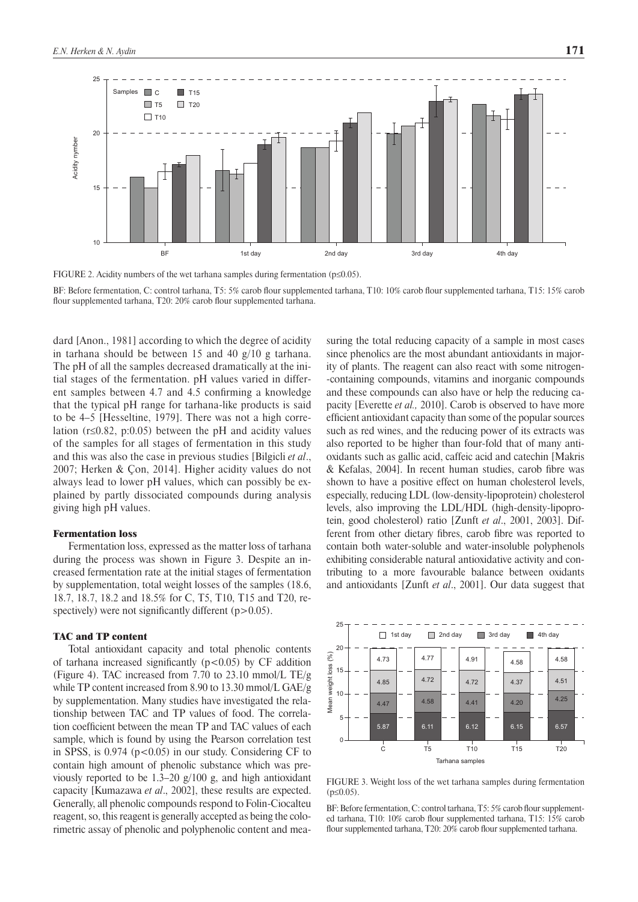

FIGURE 2. Acidity numbers of the wet tarhana samples during fermentation (p≤0.05).

BF: Before fermentation, C: control tarhana, T5: 5% carob flour supplemented tarhana, T10: 10% carob flour supplemented tarhana, T15: 15% carob flour supplemented tarhana, T20: 20% carob flour supplemented tarhana.

dard [Anon., 1981] according to which the degree of acidity in tarhana should be between 15 and 40  $g/10$  g tarhana. The pH of all the samples decreased dramatically at the initial stages of the fermentation. pH values varied in different samples between 4.7 and 4.5 confirming a knowledge that the typical pH range for tarhana-like products is said to be 4–5 [Hesseltine, 1979]. There was not a high correlation ( $r \le 0.82$ , p:0.05) between the pH and acidity values of the samples for all stages of fermentation in this study and this was also the case in previous studies [Bilgicli *et al*., 2007; Herken & Çon, 2014]. Higher acidity values do not always lead to lower pH values, which can possibly be explained by partly dissociated compounds during analysis giving high pH values.

## Fermentation loss

Fermentation loss, expressed as the matter loss of tarhana during the process was shown in Figure 3. Despite an increased fermentation rate at the initial stages of fermentation by supplementation, total weight losses of the samples (18.6, 18.7, 18.7, 18.2 and 18.5% for C, T5, T10, T15 and T20, respectively) were not significantly different  $(p>0.05)$ .

## TAC and TP content

Total antioxidant capacity and total phenolic contents of tarhana increased significantly  $(p<0.05)$  by CF addition (Figure 4). TAC increased from 7.70 to 23.10 mmol/L TE/g while TP content increased from 8.90 to 13.30 mmol/L GAE/g by supplementation. Many studies have investigated the relationship between TAC and TP values of food. The correlation coefficient between the mean TP and TAC values of each sample, which is found by using the Pearson correlation test in SPSS, is  $0.974$  ( $p < 0.05$ ) in our study. Considering CF to contain high amount of phenolic substance which was previously reported to be 1.3–20 g/100 g, and high antioxidant capacity [Kumazawa *et al*., 2002], these results are expected. Generally, all phenolic compounds respond to Folin-Ciocalteu reagent, so, this reagent is generally accepted as being the colorimetric assay of phenolic and polyphenolic content and measuring the total reducing capacity of a sample in most cases since phenolics are the most abundant antioxidants in majority of plants. The reagent can also react with some nitrogen- -containing compounds, vitamins and inorganic compounds and these compounds can also have or help the reducing capacity [Everette *et al.,* 2010]. Carob is observed to have more efficient antioxidant capacity than some of the popular sources such as red wines, and the reducing power of its extracts was also reported to be higher than four-fold that of many antioxidants such as gallic acid, caffeic acid and catechin [Makris & Kefalas, 2004]. In recent human studies, carob fibre was shown to have a positive effect on human cholesterol levels, especially, reducing LDL (low-density-lipoprotein) cholesterol levels, also improving the LDL/HDL (high-density-lipoprotein, good cholesterol) ratio [Zunft *et al*., 2001, 2003]. Different from other dietary fibres, carob fibre was reported to contain both water-soluble and water-insoluble polyphenols exhibiting considerable natural antioxidative activity and contributing to a more favourable balance between oxidants and antioxidants [Zunft *et al*., 2001]. Our data suggest that



FIGURE 3. Weight loss of the wet tarhana samples during fermentation  $(p \le 0.05)$ .

BF: Before fermentation, C: control tarhana, T5: 5% carob flour supplemented tarhana, T10: 10% carob flour supplemented tarhana, T15: 15% carob flour supplemented tarhana, T20: 20% carob flour supplemented tarhana.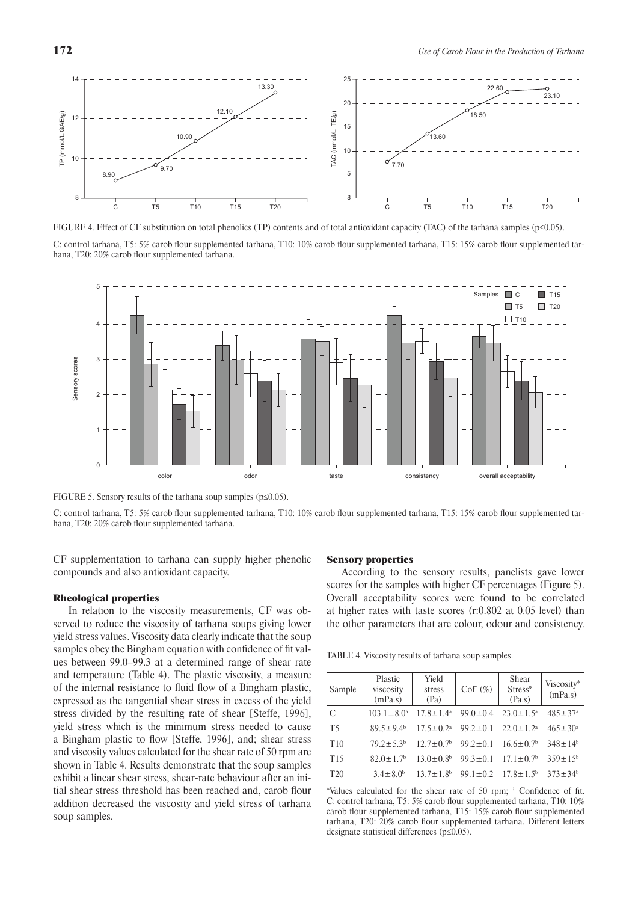

FIGURE 4. Effect of CF substitution on total phenolics (TP) contents and of total antioxidant capacity (TAC) of the tarhana samples (p≤0.05).

C: control tarhana, T5: 5% carob flour supplemented tarhana, T10: 10% carob flour supplemented tarhana, T15: 15% carob flour supplemented tarhana, T20: 20% carob flour supplemented tarhana.



FIGURE 5. Sensory results of the tarhana soup samples (p≤0.05).

C: control tarhana, T5: 5% carob flour supplemented tarhana, T10: 10% carob flour supplemented tarhana, T15: 15% carob flour supplemented tarhana, T20: 20% carob flour supplemented tarhana.

CF supplementation to tarhana can supply higher phenolic compounds and also antioxidant capacity.

## Rheological properties

In relation to the viscosity measurements, CF was observed to reduce the viscosity of tarhana soups giving lower yield stress values. Viscosity data clearly indicate that the soup samples obey the Bingham equation with confidence of fit values between 99.0–99.3 at a determined range of shear rate and temperature (Table 4). The plastic viscosity, a measure of the internal resistance to fluid flow of a Bingham plastic, expressed as the tangential shear stress in excess of the yield stress divided by the resulting rate of shear [Steffe, 1996], yield stress which is the minimum stress needed to cause a Bingham plastic to flow [Steffe, 1996], and; shear stress and viscosity values calculated for the shear rate of 50 rpm are shown in Table 4. Results demonstrate that the soup samples exhibit a linear shear stress, shear-rate behaviour after an initial shear stress threshold has been reached and, carob flour addition decreased the viscosity and yield stress of tarhana soup samples.

### Sensory properties

According to the sensory results, panelists gave lower scores for the samples with higher CF percentages (Figure 5). Overall acceptability scores were found to be correlated at higher rates with taste scores (r:0.802 at 0.05 level) than the other parameters that are colour, odour and consistency.

TABLE 4. Viscosity results of tarhana soup samples.

| Sample          | Plastic<br>viscosity<br>(mPa.s) | Yield<br>stress<br>(Pa)                    | $Cof^{\dagger}(\%)$ | Shear<br>Stress*<br>(Pa.s)  | Viscosity*<br>(mPa.s)     |
|-----------------|---------------------------------|--------------------------------------------|---------------------|-----------------------------|---------------------------|
| C               | $103.1 \pm 8.0^a$               | $17.8 \pm 1.4^{\circ}$                     | $99.0 \pm 0.4$      | $23.0 \pm 1.5^{\circ}$      | $485 \pm 37$ <sup>a</sup> |
| T <sub>5</sub>  | $89.5 \pm 9.4^{\circ}$          | $17.5 \pm 0.2^{\text{a}}$                  | $99.2 \pm 0.1$      | $22.0 \pm 1.2$ <sup>a</sup> | $465 \pm 30^a$            |
| T <sub>10</sub> | $792+53b$                       | $12.7 \pm 0.7$ <sup>b</sup>                | $99.2 \pm 0.1$      | $16.6 \pm 0.7$ <sup>b</sup> | $348 \pm 14^{b}$          |
| T <sub>15</sub> | $82.0 \pm 1.7$ <sup>b</sup>     | $13.0 \pm 0.8^b$                           | $99.3 \pm 0.1$      | $17.1 \pm 0.7$ <sup>b</sup> | $359 \pm 15^{b}$          |
| T <sub>20</sub> | $3.4 \pm 8.0^b$                 | $13.7 \pm 1.8$ <sup>b</sup> 99.1 $\pm$ 0.2 |                     | $17.8 \pm 1.5^{\circ}$      | $373 \pm 34^{\circ}$      |

\*Values calculated for the shear rate of 50 rpm; † Confidence of fit. C: control tarhana, T5: 5% carob flour supplemented tarhana, T10: 10% carob flour supplemented tarhana, T15: 15% carob flour supplemented tarhana, T20: 20% carob flour supplemented tarhana. Different letters designate statistical differences (p≤0.05).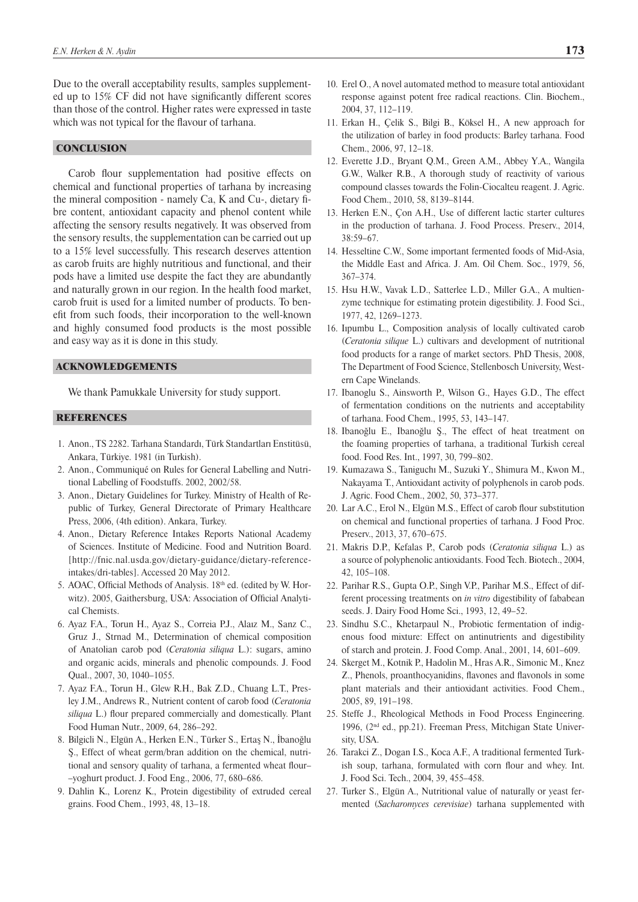Due to the overall acceptability results, samples supplemented up to 15% CF did not have significantly different scores than those of the control. Higher rates were expressed in taste which was not typical for the flavour of tarhana.

# **CONCLUSION**

Carob flour supplementation had positive effects on chemical and functional properties of tarhana by increasing the mineral composition - namely Ca, K and Cu-, dietary fibre content, antioxidant capacity and phenol content while affecting the sensory results negatively. It was observed from the sensory results, the supplementation can be carried out up to a 15% level successfully. This research deserves attention as carob fruits are highly nutritious and functional, and their pods have a limited use despite the fact they are abundantly and naturally grown in our region. In the health food market, carob fruit is used for a limited number of products. To benefit from such foods, their incorporation to the well-known and highly consumed food products is the most possible and easy way as it is done in this study.

## ACKNOWLEDGEMENTS

We thank Pamukkale University for study support.

# **REFERENCES**

- 1. Anon., TS 2282. Tarhana Standardı, Türk Standartları Enstitüsü, Ankara, Türkiye. 1981 (in Turkish).
- 2. Anon., Communiqué on Rules for General Labelling and Nutritional Labelling of Foodstuffs. 2002, 2002/58.
- 3. Anon., Dietary Guidelines for Turkey. Ministry of Health of Republic of Turkey, General Directorate of Primary Healthcare Press, 2006, (4th edition). Ankara, Turkey.
- 4. Anon., Dietary Reference Intakes Reports National Academy of Sciences. Institute of Medicine. Food and Nutrition Board. [[http://fnic.nal.usda.gov/dietary-guidance/dietary-reference](http://fnic.nal.usda.gov/dietary-guidance/dietary-reference-intakes/dri-tables]. Accessed 20 May 2012)[intakes/dri-tables\]. Accessed 20 May 2012.](http://fnic.nal.usda.gov/dietary-guidance/dietary-reference-intakes/dri-tables]. Accessed 20 May 2012)
- 5. AOAC, Official Methods of Analysis. 18<sup>th</sup> ed. (edited by W. Horwitz). 2005, Gaithersburg, USA: Association of Official Analytical Chemists.
- 6. Ayaz F.A., Torun H., Ayaz S., Correia P.J., Alaız M., Sanz C., Gruz J., Strnad M., Determination of chemical composition of Anatolian carob pod (*Ceratonia siliqua* L.): sugars, amino and organic acids, minerals and phenolic compounds. J. Food Qual., 2007, 30, 1040–1055.
- 7. Ayaz F.A., Torun H., Glew R.H., Bak Z.D., Chuang L.T., Presley J.M., Andrews R., Nutrient content of carob food (*Ceratonia siliqua* L.) flour prepared commercially and domestically. Plant Food Human Nutr., 2009, 64, 286–292.
- 8. Bilgicli N., Elgün A., Herken E.N., Türker S., Ertaş N., İbanoğlu Ş., Effect of wheat germ/bran addition on the chemical, nutritional and sensory quality of tarhana, a fermented wheat flour– –yoghurt product. J. Food Eng., 2006, 77, 680–686.
- 9. Dahlin K., Lorenz K., Protein digestibility of extruded cereal grains. Food Chem., 1993, 48, 13–18.
- 10. Erel O., A novel automated method to measure total antioxidant response against potent free radical reactions. Clin. Biochem., 2004, 37, 112–119.
- 11. Erkan H., Çelik S., Bilgi B., Köksel H., A new approach for the utilization of barley in food products: Barley tarhana. Food Chem., 2006, 97, 12–18.
- 12. Everette J.D., Bryant Q.M., Green A.M., Abbey Y.A., Wangila G.W., Walker R.B., A thorough study of reactivity of various compound classes towards the Folin-Ciocalteu reagent. J. Agric. Food Chem., 2010, 58, 8139–8144.
- 13. Herken E.N., Çon A.H., Use of different lactic starter cultures in the production of tarhana. J. Food Process. Preserv., 2014, 38:59–67.
- 14. Hesseltine C.W., Some important fermented foods of Mid-Asia, the Middle East and Africa. [J. Am. Oil Chem. Soc.,](http://www.google.com/url?sa=t&rct=j&q=J+Am+Oil+Chem&source=web&cd=1&cad=rja&ved=0CCEQFjAA&url=http%3A%2F%2Fwww.nonprofitjournals.org%2Fjournals%2Foil_chemists.htm&ei=FXw8UJDMAa3c4QT_wIDQCw&usg=AFQjCNE93WSuSY4BKCHSNh2f2SkAht8FFA) 1979, 56, 367–374.
- 15. Hsu H.W., Vavak L.D., Satterlee L.D., Miller G.A., A multienzyme technique for estimating protein digestibility. J. Food Sci., 1977, 42, 1269–1273.
- 16. Iıpumbu L., Composition analysis of locally cultivated carob (*Ceratonia silique* L.) cultivars and development of nutritional food products for a range of market sectors. PhD Thesis, 2008, The Department of Food Science, Stellenbosch University, Western Cape Winelands.
- 17. Ibanoglu S., Ainsworth P., Wilson G., Hayes G.D., The effect of fermentation conditions on the nutrients and acceptability of tarhana. Food Chem., 1995, 53, 143–147.
- 18. Ibanoğlu E., Ibanoğlu Ş., The effect of heat treatment on the foaming properties of tarhana, a traditional Turkish cereal food. Food Res. Int., 1997, 30, 799–802.
- 19. Kumazawa S., Taniguchı M., Suzuki Y., Shimura M., Kwon M., Nakayama T., Antioxidant activity of polyphenols in carob pods. J. Agric. Food Chem., 2002, 50, 373–377.
- 20. Lar A.C., Erol N., Elgün M.S., Effect of carob flour substitution on chemical and functional properties of tarhana. J Food Proc. Preserv., 2013, 37, 670–675.
- 21. Makris D.P., Kefalas P., Carob pods (*Ceratonia siliqua* L.) as a source of polyphenolic antioxidants. Food Tech. Biotech., 2004, 42, 105–108.
- 22. Parihar R.S., Gupta O.P., Singh V.P., Parihar M.S., Effect of different processing treatments on *in vitro* digestibility of fababean seeds. J. Dairy Food Home Sci., 1993, 12, 49–52.
- 23. Sindhu S.C., Khetarpaul N., Probiotic fermentation of indigenous food mixture: Effect on antinutrients and digestibility of starch and protein. J. Food Comp. Anal., 2001, 14, 601–609.
- 24. Skerget M., Kotnik P., Hadolin M., Hras A.R., Simonic M., Knez Z., Phenols, proanthocyanidins, flavones and flavonols in some plant materials and their antioxidant activities. Food Chem., 2005, 89, 191–198.
- 25. Steffe J., Rheological Methods in Food Process Engineering. 1996, (2nd ed., pp.21). Freeman Press, Mitchigan State University, USA.
- 26. Tarakci Z., Dogan I.S., Koca A.F., A traditional fermented Turkish soup, tarhana, formulated with corn flour and whey. Int. J. Food Sci. Tech., 2004, 39, 455–458.
- 27. Turker S., Elgün A., Nutritional value of naturally or yeast fermented (*Sacharomyces cerevisiae*) tarhana supplemented with